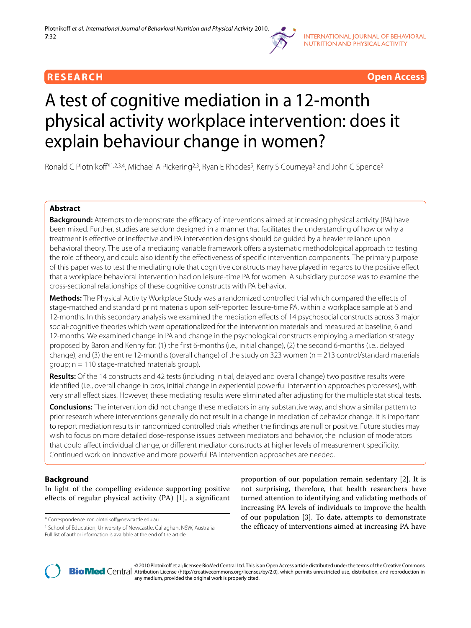



# A test of cognitive mediation in a 12-month physical activity workplace intervention: does it explain behaviour change in women?

Ronald C Plotnikoff<sup>\*1,2,3,4</sup>, Michael A Pickering<sup>2,3</sup>, Ryan E Rhodes<sup>5</sup>, Kerry S Courneya<sup>2</sup> and John C Spence<sup>2</sup>

# **Abstract**

**Background:** Attempts to demonstrate the efficacy of interventions aimed at increasing physical activity (PA) have been mixed. Further, studies are seldom designed in a manner that facilitates the understanding of how or why a treatment is effective or ineffective and PA intervention designs should be guided by a heavier reliance upon behavioral theory. The use of a mediating variable framework offers a systematic methodological approach to testing the role of theory, and could also identify the effectiveness of specific intervention components. The primary purpose of this paper was to test the mediating role that cognitive constructs may have played in regards to the positive effect that a workplace behavioral intervention had on leisure-time PA for women. A subsidiary purpose was to examine the cross-sectional relationships of these cognitive constructs with PA behavior.

**Methods:** The Physical Activity Workplace Study was a randomized controlled trial which compared the effects of stage-matched and standard print materials upon self-reported leisure-time PA, within a workplace sample at 6 and 12-months. In this secondary analysis we examined the mediation effects of 14 psychosocial constructs across 3 major social-cognitive theories which were operationalized for the intervention materials and measured at baseline, 6 and 12-months. We examined change in PA and change in the psychological constructs employing a mediation strategy proposed by Baron and Kenny for: (1) the first 6-months (i.e., initial change), (2) the second 6-months (i.e., delayed change), and (3) the entire 12-months (overall change) of the study on 323 women (n = 213 control/standard materials group; n = 110 stage-matched materials group).

**Results:** Of the 14 constructs and 42 tests (including initial, delayed and overall change) two positive results were identified (i.e., overall change in pros, initial change in experiential powerful intervention approaches processes), with very small effect sizes. However, these mediating results were eliminated after adjusting for the multiple statistical tests.

**Conclusions:** The intervention did not change these mediators in any substantive way, and show a similar pattern to prior research where interventions generally do not result in a change in mediation of behavior change. It is important to report mediation results in randomized controlled trials whether the findings are null or positive. Future studies may wish to focus on more detailed dose-response issues between mediators and behavior, the inclusion of moderators that could affect individual change, or different mediator constructs at higher levels of measurement specificity. Continued work on innovative and more powerful PA intervention approaches are needed.

# **Background**

In light of the compelling evidence supporting positive effects of regular physical activity (PA) [[1\]](#page-12-0), a significant

1 School of Education, University of Newcastle, Callaghan, NSW, Australia

proportion of our population remain sedentary [[2\]](#page-12-1). It is not surprising, therefore, that health researchers have turned attention to identifying and validating methods of increasing PA levels of individuals to improve the health of our population [\[3](#page-12-2)]. To date, attempts to demonstrate the efficacy of interventions aimed at increasing PA have



2010 Plotnikoff et al; licensee [BioMed](http://www.biomedcentral.com/) Central Ltd. This is an Open Access article distributed under the terms of the Creative Commons (http://creativecommons.org/licenses/by/2.0), which permits unrestricted use, distribut any medium, provided the original work is properly cited.

<sup>\*</sup> Correspondence: ron.plotnikoff@newcastle.edu.au

Full list of author information is available at the end of the article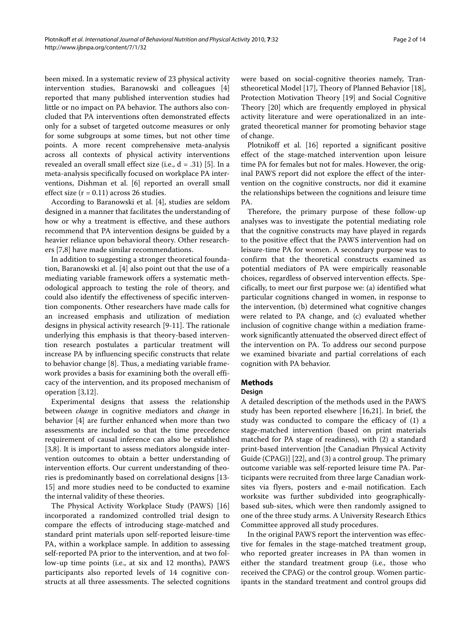been mixed. In a systematic review of 23 physical activity intervention studies, Baranowski and colleagues [\[4](#page-12-3)] reported that many published intervention studies had little or no impact on PA behavior. The authors also concluded that PA interventions often demonstrated effects only for a subset of targeted outcome measures or only for some subgroups at some times, but not other time points. A more recent comprehensive meta-analysis across all contexts of physical activity interventions revealed an overall small effect size (i.e.,  $d = .31$ ) [[5](#page-12-4)]. In a meta-analysis specifically focused on workplace PA interventions, Dishman et al. [\[6](#page-12-5)] reported an overall small effect size  $(r = 0.11)$  across 26 studies.

According to Baranowski et al. [[4\]](#page-12-3), studies are seldom designed in a manner that facilitates the understanding of how or why a treatment is effective, and these authors recommend that PA intervention designs be guided by a heavier reliance upon behavioral theory. Other researchers [\[7](#page-12-6)[,8](#page-12-7)] have made similar recommendations.

In addition to suggesting a stronger theoretical foundation, Baranowski et al. [[4\]](#page-12-3) also point out that the use of a mediating variable framework offers a systematic methodological approach to testing the role of theory, and could also identify the effectiveness of specific intervention components. Other researchers have made calls for an increased emphasis and utilization of mediation designs in physical activity research [\[9-](#page-12-8)[11](#page-12-9)]. The rationale underlying this emphasis is that theory-based intervention research postulates a particular treatment will increase PA by influencing specific constructs that relate to behavior change [[8\]](#page-12-7). Thus, a mediating variable framework provides a basis for examining both the overall efficacy of the intervention, and its proposed mechanism of operation [[3,](#page-12-2)[12\]](#page-12-10).

Experimental designs that assess the relationship between *change* in cognitive mediators and *change* in behavior [[4\]](#page-12-3) are further enhanced when more than two assessments are included so that the time precedence requirement of causal inference can also be established [[3,](#page-12-2)[8\]](#page-12-7). It is important to assess mediators alongside intervention outcomes to obtain a better understanding of intervention efforts. Our current understanding of theories is predominantly based on correlational designs [\[13-](#page-12-11) [15](#page-12-12)] and more studies need to be conducted to examine the internal validity of these theories.

The Physical Activity Workplace Study (PAWS) [[16](#page-12-13)] incorporated a randomized controlled trial design to compare the effects of introducing stage-matched and standard print materials upon self-reported leisure-time PA, within a workplace sample. In addition to assessing self-reported PA prior to the intervention, and at two follow-up time points (i.e., at six and 12 months), PAWS participants also reported levels of 14 cognitive constructs at all three assessments. The selected cognitions were based on social-cognitive theories namely, Transtheoretical Model [\[17](#page-12-14)], Theory of Planned Behavior [\[18](#page-12-15)], Protection Motivation Theory [\[19](#page-12-16)] and Social Cognitive Theory [[20\]](#page-12-17) which are frequently employed in physical activity literature and were operationalized in an integrated theoretical manner for promoting behavior stage of change.

Plotnikoff et al. [[16](#page-12-13)] reported a significant positive effect of the stage-matched intervention upon leisure time PA for females but not for males. However, the original PAWS report did not explore the effect of the intervention on the cognitive constructs, nor did it examine the relationships between the cognitions and leisure time PA.

Therefore, the primary purpose of these follow-up analyses was to investigate the potential mediating role that the cognitive constructs may have played in regards to the positive effect that the PAWS intervention had on leisure-time PA for women. A secondary purpose was to confirm that the theoretical constructs examined as potential mediators of PA were empirically reasonable choices, regardless of observed intervention effects. Specifically, to meet our first purpose we: (a) identified what particular cognitions changed in women, in response to the intervention, (b) determined what cognitive changes were related to PA change, and (c) evaluated whether inclusion of cognitive change within a mediation framework significantly attenuated the observed direct effect of the intervention on PA. To address our second purpose we examined bivariate and partial correlations of each cognition with PA behavior.

# **Methods**

#### **Design**

A detailed description of the methods used in the PAWS study has been reported elsewhere [[16](#page-12-13),[21](#page-12-18)]. In brief, the study was conducted to compare the efficacy of (1) a stage-matched intervention (based on print materials matched for PA stage of readiness), with (2) a standard print-based intervention [the Canadian Physical Activity Guide (CPAG)] [[22](#page-12-19)], and (3) a control group. The primary outcome variable was self-reported leisure time PA. Participants were recruited from three large Canadian worksites via flyers, posters and e-mail notification. Each worksite was further subdivided into geographicallybased sub-sites, which were then randomly assigned to one of the three study arms. A University Research Ethics Committee approved all study procedures.

In the original PAWS report the intervention was effective for females in the stage-matched treatment group, who reported greater increases in PA than women in either the standard treatment group (i.e., those who received the CPAG) or the control group. Women participants in the standard treatment and control groups did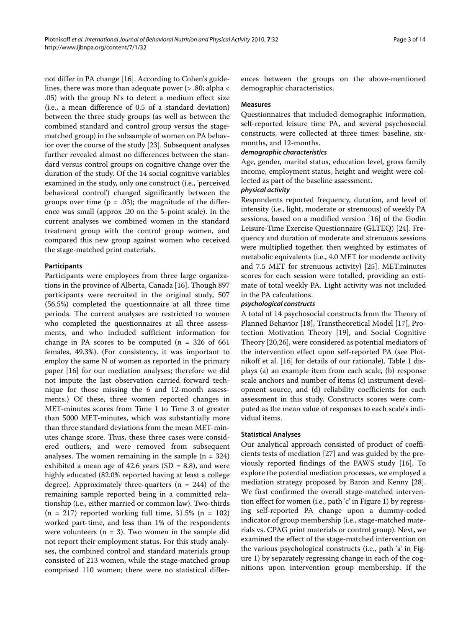not differ in PA change [\[16](#page-12-13)]. According to Cohen's guidelines, there was more than adequate power (> .80; alpha < .05) with the group N's to detect a medium effect size (i.e., a mean difference of 0.5 of a standard deviation) between the three study groups (as well as between the combined standard and control group versus the stagematched group) in the subsample of women on PA behavior over the course of the study [\[23](#page-12-20)]. Subsequent analyses further revealed almost no differences between the standard versus control groups on cognitive change over the duration of the study. Of the 14 social cognitive variables examined in the study, only one construct (i.e., 'perceived behavioral control') changed significantly between the groups over time ( $p = .03$ ); the magnitude of the difference was small (approx .20 on the 5-point scale). In the current analyses we combined women in the standard treatment group with the control group women, and compared this new group against women who received the stage-matched print materials.

#### **Participants**

Participants were employees from three large organizations in the province of Alberta, Canada [[16\]](#page-12-13). Though 897 participants were recruited in the original study, 507 (56.5%) completed the questionnaire at all three time periods. The current analyses are restricted to women who completed the questionnaires at all three assessments, and who included sufficient information for change in PA scores to be computed  $(n = 326 \text{ of } 661)$ females, 49.3%). (For consistency, it was important to employ the same N of women as reported in the primary paper [[16\]](#page-12-13) for our mediation analyses; therefore we did not impute the last observation carried forward technique for those missing the 6 and 12-month assessments.) Of these, three women reported changes in MET-minutes scores from Time 1 to Time 3 of greater than 5000 MET-minutes, which was substantially more than three standard deviations from the mean MET-minutes change score. Thus, these three cases were considered outliers, and were removed from subsequent analyses. The women remaining in the sample  $(n = 324)$ exhibited a mean age of 42.6 years  $(SD = 8.8)$ , and were highly educated (82.0% reported having at least a college degree). Approximately three-quarters  $(n = 244)$  of the remaining sample reported being in a committed relationship (i.e., either married or common law). Two-thirds  $(n = 217)$  reported working full time, 31.5%  $(n = 102)$ worked part-time, and less than 1% of the respondents were volunteers ( $n = 3$ ). Two women in the sample did not report their employment status. For this study analyses, the combined control and standard materials group consisted of 213 women, while the stage-matched group comprised 110 women; there were no statistical differ-

ences between the groups on the above-mentioned demographic characteristics.

#### **Measures**

Questionnaires that included demographic information, self-reported leisure time PA, and several psychosocial constructs, were collected at three times: baseline, sixmonths, and 12-months.

#### **demographic characteristics**

Age, gender, marital status, education level, gross family income, employment status, height and weight were collected as part of the baseline assessment.

#### **physical activity**

Respondents reported frequency, duration, and level of intensity (i.e., light, moderate or strenuous) of weekly PA sessions, based on a modified version [\[16](#page-12-13)] of the Godin Leisure-Time Exercise Questionnaire (GLTEQ) [[24\]](#page-12-21). Frequency and duration of moderate and strenuous sessions were multiplied together, then weighted by estimates of metabolic equivalents (i.e., 4.0 MET for moderate activity and 7.5 MET for strenuous activity) [\[25\]](#page-12-22). MET.minutes scores for each session were totalled, providing an estimate of total weekly PA. Light activity was not included in the PA calculations.

#### **psychological constructs**

A total of 14 psychosocial constructs from the Theory of Planned Behavior [[18\]](#page-12-15), Transtheoretical Model [[17\]](#page-12-14), Protection Motivation Theory [\[19\]](#page-12-16), and Social Cognitive Theory [\[20](#page-12-17)[,26](#page-12-23)], were considered as potential mediators of the intervention effect upon self-reported PA (see Plotnikoff et al. [[16\]](#page-12-13) for details of our rationale). Table 1 displays (a) an example item from each scale, (b) response scale anchors and number of items (c) instrument development source, and (d) reliability coefficients for each assessment in this study. Constructs scores were computed as the mean value of responses to each scale's individual items.

#### **Statistical Analyses**

Our analytical approach consisted of product of coefficients tests of mediation [\[27\]](#page-12-24) and was guided by the previously reported findings of the PAWS study [[16\]](#page-12-13). To explore the potential mediation processes, we employed a mediation strategy proposed by Baron and Kenny [\[28](#page-12-25)]. We first confirmed the overall stage-matched intervention effect for women (i.e., path 'c' in Figure [1\)](#page-4-0) by regressing self-reported PA change upon a dummy-coded indicator of group membership (i.e., stage-matched materials vs. CPAG print materials or control group). Next, we examined the effect of the stage-matched intervention on the various psychological constructs (i.e., path 'a' in Figure [1\)](#page-4-0) by separately regressing change in each of the cognitions upon intervention group membership. If the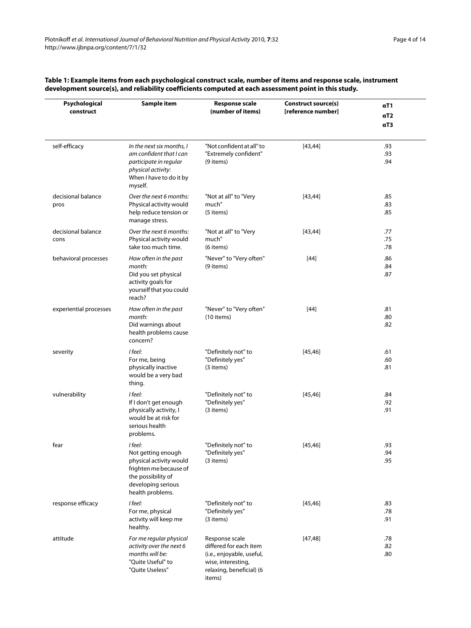| Psychological<br>construct | Sample item                                                                                                                                        | <b>Response scale</b><br>(number of items)                                                                                        | Construct source(s)<br>[reference number] | αT1<br>αT <sub>2</sub><br>αT3 |
|----------------------------|----------------------------------------------------------------------------------------------------------------------------------------------------|-----------------------------------------------------------------------------------------------------------------------------------|-------------------------------------------|-------------------------------|
| self-efficacy              | In the next six months, I<br>am confident that I can<br>participate in regular<br>physical activity:<br>When I have to do it by<br>myself.         | "Not confident at all" to<br>"Extremely confident"<br>(9 items)                                                                   | [43, 44]                                  | .93<br>.93<br>.94             |
| decisional balance<br>pros | Over the next 6 months:<br>Physical activity would<br>help reduce tension or<br>manage stress.                                                     | "Not at all" to "Very<br>much"<br>(5 items)                                                                                       | [43, 44]                                  | .85<br>.83<br>.85             |
| decisional balance<br>cons | Over the next 6 months:<br>Physical activity would<br>take too much time.                                                                          | "Not at all" to "Very<br>much"<br>(6 items)                                                                                       | [43, 44]                                  | .77<br>.75<br>.78             |
| behavioral processes       | How often in the past<br>month:<br>Did you set physical<br>activity goals for<br>yourself that you could<br>reach?                                 | "Never" to "Very often"<br>(9 items)                                                                                              | $[44]$                                    | .86<br>.84<br>.87             |
| experiential processes     | How often in the past<br>month:<br>Did warnings about<br>health problems cause<br>concern?                                                         | "Never" to "Very often"<br>(10 items)                                                                                             | [44]                                      | .81<br>.80<br>.82             |
| severity                   | I feel:<br>For me, being<br>physically inactive<br>would be a very bad<br>thing.                                                                   | "Definitely not" to<br>"Definitely yes"<br>(3 items)                                                                              | [45, 46]                                  | .61<br>.60<br>.81             |
| vulnerability              | I feel:<br>If I don't get enough<br>physically activity, I<br>would be at risk for<br>serious health<br>problems.                                  | "Definitely not" to<br>"Definitely yes"<br>(3 items)                                                                              | [45, 46]                                  | .84<br>.92<br>.91             |
| fear                       | I feel:<br>Not getting enough<br>physical activity would<br>frighten me because of<br>the possibility of<br>developing serious<br>health problems. | "Definitely not" to<br>"Definitely yes"<br>(3 items)                                                                              | [45, 46]                                  | .93<br>.94<br>.95             |
| response efficacy          | I feel:<br>For me, physical<br>activity will keep me<br>healthy.                                                                                   | "Definitely not" to<br>"Definitely yes"<br>(3 items)                                                                              | [45, 46]                                  | .83<br>.78<br>.91             |
| attitude                   | For me regular physical<br>activity over the next 6<br>months will be:<br>"Quite Useful" to<br>"Quite Useless"                                     | Response scale<br>differed for each item<br>(i.e., enjoyable, useful,<br>wise, interesting,<br>relaxing, beneficial) (6<br>items) | [47, 48]                                  | .78<br>.82<br>.80             |

# **Table 1: Example items from each psychological construct scale, number of items and response scale, instrument development source(s), and reliability coefficients computed at each assessment point in this study.**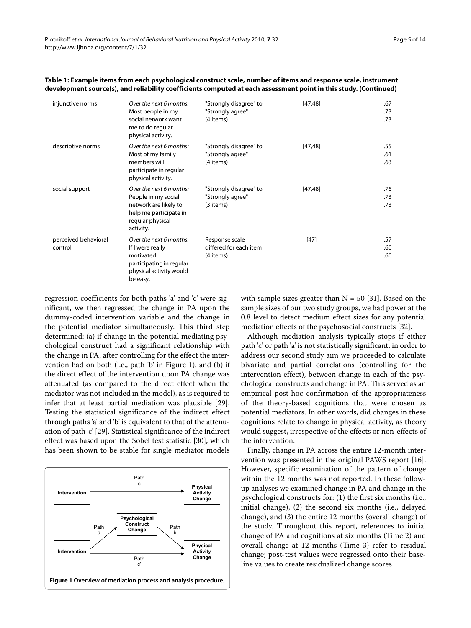| injunctive norms     | Over the next 6 months:                                                          | "Strongly disagree" to | [47, 48] | .67 |  |
|----------------------|----------------------------------------------------------------------------------|------------------------|----------|-----|--|
|                      | Most people in my                                                                | "Strongly agree"       |          | .73 |  |
|                      | social network want<br>me to do regular<br>physical activity.                    | (4 items)              |          | .73 |  |
| descriptive norms    | Over the next 6 months:                                                          | "Strongly disagree" to | [47, 48] | .55 |  |
|                      | Most of my family                                                                | "Strongly agree"       |          | .61 |  |
|                      | members will<br>participate in regular<br>physical activity.                     | (4 items)              |          | .63 |  |
| social support       | Over the next 6 months:                                                          | "Strongly disagree" to | [47, 48] | .76 |  |
|                      | People in my social                                                              | "Strongly agree"       |          | .73 |  |
|                      | network are likely to<br>help me participate in<br>regular physical<br>activity. | (3 items)              |          | .73 |  |
| perceived behavioral | Over the next 6 months:                                                          | Response scale         | $[47]$   | .57 |  |
| control              | If I were really                                                                 | differed for each item |          | .60 |  |
|                      | motivated<br>participating in regular<br>physical activity would<br>be easy.     | (4 items)              |          | .60 |  |

| Table 1: Example items from each psychological construct scale, number of items and response scale, instrument   |
|------------------------------------------------------------------------------------------------------------------|
| development source(s), and reliability coefficients computed at each assessment point in this study. (Continued) |

regression coefficients for both paths 'a' and 'c' were significant, we then regressed the change in PA upon the dummy-coded intervention variable and the change in the potential mediator simultaneously. This third step determined: (a) if change in the potential mediating psychological construct had a significant relationship with the change in PA, after controlling for the effect the intervention had on both (i.e., path 'b' in Figure [1](#page-4-0)), and (b) if the direct effect of the intervention upon PA change was attenuated (as compared to the direct effect when the mediator was not included in the model), as is required to infer that at least partial mediation was plausible [\[29](#page-12-26)]. Testing the statistical significance of the indirect effect through paths 'a' and 'b' is equivalent to that of the attenuation of path 'c' [\[29](#page-12-26)]. Statistical significance of the indirect effect was based upon the Sobel test statistic [[30](#page-12-27)], which has been shown to be stable for single mediator models

<span id="page-4-0"></span>

with sample sizes greater than  $N = 50$  [[31\]](#page-12-28). Based on the sample sizes of our two study groups, we had power at the 0.8 level to detect medium effect sizes for any potential mediation effects of the psychosocial constructs [\[32\]](#page-12-29).

Although mediation analysis typically stops if either path 'c' or path 'a' is not statistically significant, in order to address our second study aim we proceeded to calculate bivariate and partial correlations (controlling for the intervention effect), between change in each of the psychological constructs and change in PA. This served as an empirical post-hoc confirmation of the appropriateness of the theory-based cognitions that were chosen as potential mediators. In other words, did changes in these cognitions relate to change in physical activity, as theory would suggest, irrespective of the effects or non-effects of the intervention.

Finally, change in PA across the entire 12-month intervention was presented in the original PAWS report [\[16](#page-12-13)]. However, specific examination of the pattern of change within the 12 months was not reported. In these followup analyses we examined change in PA and change in the psychological constructs for: (1) the first six months (i.e., initial change), (2) the second six months (i.e., delayed change), and (3) the entire 12 months (overall change) of the study. Throughout this report, references to initial change of PA and cognitions at six months (Time 2) and overall change at 12 months (Time 3) refer to residual change; post-test values were regressed onto their baseline values to create residualized change scores.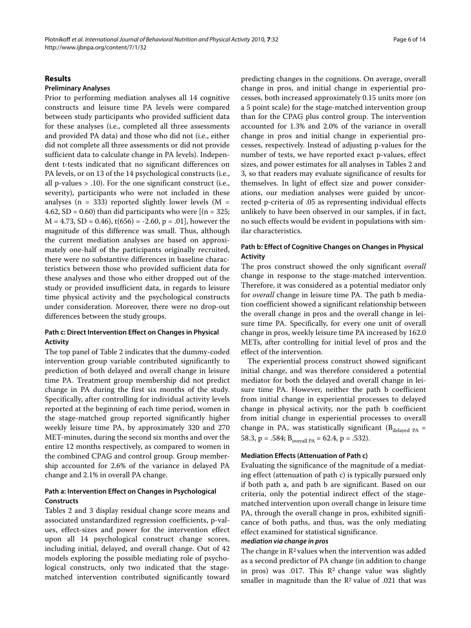# **Results**

#### **Preliminary Analyses**

Prior to performing mediation analyses all 14 cognitive constructs and leisure time PA levels were compared between study participants who provided sufficient data for these analyses (i.e., completed all three assessments and provided PA data) and those who did not (i.e., either did not complete all three assessments or did not provide sufficient data to calculate change in PA levels). Independent t-tests indicated that no significant differences on PA levels, or on 13 of the 14 psychological constructs (i.e., all p-values > .10). For the one significant construct (i.e., severity), participants who were not included in these analyses ( $n = 333$ ) reported slightly lower levels ( $M =$ 4.62, SD = 0.60) than did participants who were  $[(n = 325;$  $M = 4.73$ , SD = 0.46), t(656) = -2.60, p = .01], however the magnitude of this difference was small. Thus, although the current mediation analyses are based on approximately one-half of the participants originally recruited, there were no substantive differences in baseline characteristics between those who provided sufficient data for these analyses and those who either dropped out of the study or provided insufficient data, in regards to leisure time physical activity and the psychological constructs under consideration. Moreover, there were no drop-out differences between the study groups.

#### **Path c: Direct Intervention Effect on Changes in Physical Activity**

The top panel of Table 2 indicates that the dummy-coded intervention group variable contributed significantly to prediction of both delayed and overall change in leisure time PA. Treatment group membership did not predict change in PA during the first six months of the study. Specifically, after controlling for individual activity levels reported at the beginning of each time period, women in the stage-matched group reported significantly higher weekly leisure time PA, by approximately 320 and 270 MET-minutes, during the second six months and over the entire 12 months respectively, as compared to women in the combined CPAG and control group. Group membership accounted for 2.6% of the variance in delayed PA change and 2.1% in overall PA change.

#### **Path a: Intervention Effect on Changes in Psychological Constructs**

Tables 2 and 3 display residual change score means and associated unstandardized regression coefficients, p-values, effect-sizes and power for the intervention effect upon all 14 psychological construct change scores, including initial, delayed, and overall change. Out of 42 models exploring the possible mediating role of psychological constructs, only two indicated that the stagematched intervention contributed significantly toward

predicting changes in the cognitions. On average, overall change in pros, and initial change in experiential processes, both increased approximately 0.15 units more (on a 5 point scale) for the stage-matched intervention group than for the CPAG plus control group. The intervention accounted for 1.3% and 2.0% of the variance in overall change in pros and initial change in experiential processes, respectively. Instead of adjusting p-values for the number of tests, we have reported exact p-values, effect sizes, and power estimates for all analyses in Tables 2 and 3, so that readers may evaluate significance of results for themselves. In light of effect size and power considerations, our mediation analyses were guided by uncorrected p-criteria of .05 as representing individual effects unlikely to have been observed in our samples, if in fact, no such effects would be evident in populations with similar characteristics.

# **Path b: Effect of Cognitive Changes on Changes in Physical Activity**

The pros construct showed the only significant *overall* change in response to the stage-matched intervention. Therefore, it was considered as a potential mediator only for *overall* change in leisure time PA. The path b mediation coefficient showed a significant relationship between the overall change in pros and the overall change in leisure time PA. Specifically, for every one unit of overall change in pros, weekly leisure time PA increased by 162.0 METs, after controlling for initial level of pros and the effect of the intervention.

The experiential process construct showed significant initial change, and was therefore considered a potential mediator for both the delayed and overall change in leisure time PA. However, neither the path b coefficient from initial change in experiential processes to delayed change in physical activity, nor the path b coefficient from initial change in experiential processes to overall change in PA, was statistically significant ( $B_{delayed}$   $_{PA}$  = 58.3, p = .584;  $B_{overall PA} = 62.4$ , p = .532).

#### **Mediation Effects (Attenuation of Path c)**

Evaluating the significance of the magnitude of a mediating effect (attenuation of path c) is typically pursued only if both path a, and path b are significant. Based on our criteria, only the potential indirect effect of the stagematched intervention upon overall change in leisure time PA, through the overall change in pros, exhibited significance of both paths, and thus, was the only mediating effect examined for statistical significance.

#### **mediation via change in pros**

The change in  $\mathbb{R}^2$  values when the intervention was added as a second predictor of PA change (in addition to change in pros) was .017. This  $\mathbb{R}^2$  change value was slightly smaller in magnitude than the  $R^2$  value of .021 that was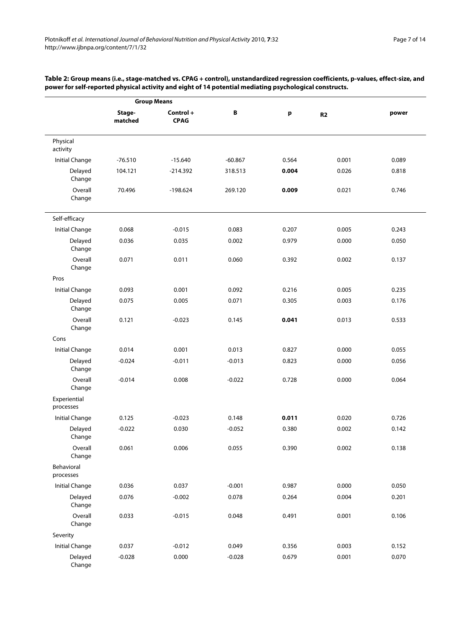| <b>Group Means</b>        |                   |                          |           |       |           |       |
|---------------------------|-------------------|--------------------------|-----------|-------|-----------|-------|
|                           | Stage-<br>matched | Control +<br><b>CPAG</b> | B         | p     | <b>R2</b> | power |
| Physical<br>activity      |                   |                          |           |       |           |       |
| <b>Initial Change</b>     | $-76.510$         | $-15.640$                | $-60.867$ | 0.564 | 0.001     | 0.089 |
| Delayed<br>Change         | 104.121           | $-214.392$               | 318.513   | 0.004 | 0.026     | 0.818 |
| Overall<br>Change         | 70.496            | $-198.624$               | 269.120   | 0.009 | 0.021     | 0.746 |
| Self-efficacy             |                   |                          |           |       |           |       |
| Initial Change            | 0.068             | $-0.015$                 | 0.083     | 0.207 | 0.005     | 0.243 |
| Delayed<br>Change         | 0.036             | 0.035                    | 0.002     | 0.979 | 0.000     | 0.050 |
| Overall<br>Change         | 0.071             | 0.011                    | 0.060     | 0.392 | 0.002     | 0.137 |
| Pros                      |                   |                          |           |       |           |       |
| <b>Initial Change</b>     | 0.093             | 0.001                    | 0.092     | 0.216 | 0.005     | 0.235 |
| Delayed<br>Change         | 0.075             | 0.005                    | 0.071     | 0.305 | 0.003     | 0.176 |
| Overall<br>Change         | 0.121             | $-0.023$                 | 0.145     | 0.041 | 0.013     | 0.533 |
| Cons                      |                   |                          |           |       |           |       |
| Initial Change            | 0.014             | 0.001                    | 0.013     | 0.827 | 0.000     | 0.055 |
| Delayed<br>Change         | $-0.024$          | $-0.011$                 | $-0.013$  | 0.823 | 0.000     | 0.056 |
| Overall<br>Change         | $-0.014$          | 0.008                    | $-0.022$  | 0.728 | 0.000     | 0.064 |
| Experiential<br>processes |                   |                          |           |       |           |       |
| <b>Initial Change</b>     | 0.125             | $-0.023$                 | 0.148     | 0.011 | 0.020     | 0.726 |
| Delayed<br>Change         | $-0.022$          | 0.030                    | $-0.052$  | 0.380 | 0.002     | 0.142 |
| Overall<br>Change         | 0.061             | 0.006                    | 0.055     | 0.390 | 0.002     | 0.138 |
| Behavioral<br>processes   |                   |                          |           |       |           |       |
| <b>Initial Change</b>     | 0.036             | 0.037                    | $-0.001$  | 0.987 | 0.000     | 0.050 |
| Delayed<br>Change         | 0.076             | $-0.002$                 | 0.078     | 0.264 | 0.004     | 0.201 |
| Overall<br>Change         | 0.033             | $-0.015$                 | 0.048     | 0.491 | 0.001     | 0.106 |
| Severity                  |                   |                          |           |       |           |       |
| <b>Initial Change</b>     | 0.037             | $-0.012$                 | 0.049     | 0.356 | 0.003     | 0.152 |
| Delayed<br>Change         | $-0.028$          | 0.000                    | $-0.028$  | 0.679 | 0.001     | 0.070 |

#### **Table 2: Group means (i.e., stage-matched vs. CPAG + control), unstandardized regression coefficients, p-values, effect-size, and power for self-reported physical activity and eight of 14 potential mediating psychological constructs.**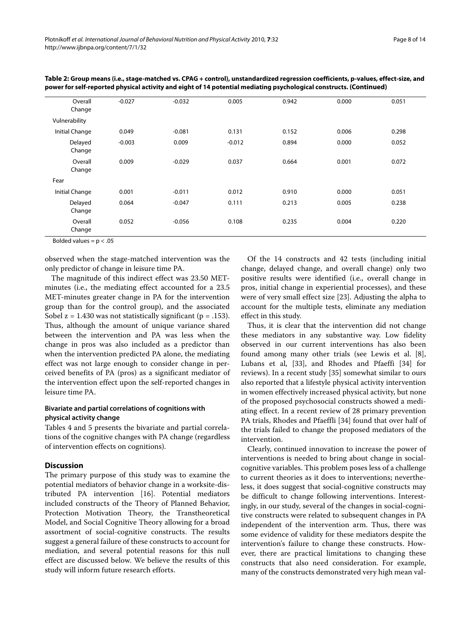| Overall<br>Change | $-0.027$ | $-0.032$ | 0.005    | 0.942 | 0.000 | 0.051 |
|-------------------|----------|----------|----------|-------|-------|-------|
| Vulnerability     |          |          |          |       |       |       |
| Initial Change    | 0.049    | $-0.081$ | 0.131    | 0.152 | 0.006 | 0.298 |
| Delayed<br>Change | $-0.003$ | 0.009    | $-0.012$ | 0.894 | 0.000 | 0.052 |
| Overall<br>Change | 0.009    | $-0.029$ | 0.037    | 0.664 | 0.001 | 0.072 |
| Fear              |          |          |          |       |       |       |
| Initial Change    | 0.001    | $-0.011$ | 0.012    | 0.910 | 0.000 | 0.051 |
| Delayed<br>Change | 0.064    | $-0.047$ | 0.111    | 0.213 | 0.005 | 0.238 |
| Overall<br>Change | 0.052    | $-0.056$ | 0.108    | 0.235 | 0.004 | 0.220 |

**Table 2: Group means (i.e., stage-matched vs. CPAG + control), unstandardized regression coefficients, p-values, effect-size, and power for self-reported physical activity and eight of 14 potential mediating psychological constructs. (Continued)**

Bolded values =  $p < .05$ 

observed when the stage-matched intervention was the only predictor of change in leisure time PA.

The magnitude of this indirect effect was 23.50 METminutes (i.e., the mediating effect accounted for a 23.5 MET-minutes greater change in PA for the intervention group than for the control group), and the associated Sobel  $z = 1.430$  was not statistically significant ( $p = .153$ ). Thus, although the amount of unique variance shared between the intervention and PA was less when the change in pros was also included as a predictor than when the intervention predicted PA alone, the mediating effect was not large enough to consider change in perceived benefits of PA (pros) as a significant mediator of the intervention effect upon the self-reported changes in leisure time PA.

# **Bivariate and partial correlations of cognitions with physical activity change**

Tables 4 and 5 presents the bivariate and partial correlations of the cognitive changes with PA change (regardless of intervention effects on cognitions).

# **Discussion**

The primary purpose of this study was to examine the potential mediators of behavior change in a worksite-distributed PA intervention [[16\]](#page-12-13). Potential mediators included constructs of the Theory of Planned Behavior, Protection Motivation Theory, the Transtheoretical Model, and Social Cognitive Theory allowing for a broad assortment of social-cognitive constructs. The results suggest a general failure of these constructs to account for mediation, and several potential reasons for this null effect are discussed below. We believe the results of this study will inform future research efforts.

Of the 14 constructs and 42 tests (including initial change, delayed change, and overall change) only two positive results were identified (i.e., overall change in pros, initial change in experiential processes), and these were of very small effect size [\[23\]](#page-12-20). Adjusting the alpha to account for the multiple tests, eliminate any mediation effect in this study.

Thus, it is clear that the intervention did not change these mediators in any substantive way. Low fidelity observed in our current interventions has also been found among many other trials (see Lewis et al. [\[8](#page-12-7)], Lubans et al, [[33](#page-12-30)], and Rhodes and Pfaeffi [[34\]](#page-12-31) for reviews). In a recent study [[35](#page-12-32)] somewhat similar to ours also reported that a lifestyle physical activity intervention in women effectively increased physical activity, but none of the proposed psychosocial constructs showed a mediating effect. In a recent review of 28 primary prevention PA trials, Rhodes and Pfaeffli [[34\]](#page-12-31) found that over half of the trials failed to change the proposed mediators of the intervention.

Clearly, continued innovation to increase the power of interventions is needed to bring about change in socialcognitive variables. This problem poses less of a challenge to current theories as it does to interventions; nevertheless, it does suggest that social-cognitive constructs may be difficult to change following interventions. Interestingly, in our study, several of the changes in social-cognitive constructs were related to subsequent changes in PA independent of the intervention arm. Thus, there was some evidence of validity for these mediators despite the intervention's failure to change these constructs. However, there are practical limitations to changing these constructs that also need consideration. For example, many of the constructs demonstrated very high mean val-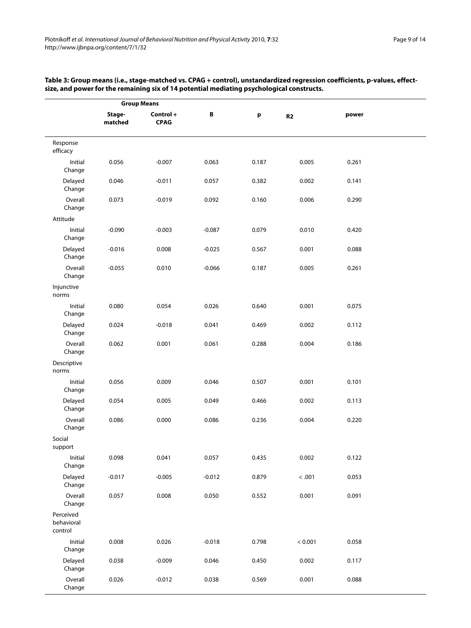| Page 9 of 14 |  |  |
|--------------|--|--|
|--------------|--|--|

| <b>Group Means</b>                 |                   |                          |          |       |         |       |  |
|------------------------------------|-------------------|--------------------------|----------|-------|---------|-------|--|
|                                    | Stage-<br>matched | Control +<br><b>CPAG</b> | B        | p     | R2      | power |  |
| Response<br>efficacy               |                   |                          |          |       |         |       |  |
| Initial<br>Change                  | 0.056             | $-0.007$                 | 0.063    | 0.187 | 0.005   | 0.261 |  |
| Delayed<br>Change                  | 0.046             | $-0.011$                 | 0.057    | 0.382 | 0.002   | 0.141 |  |
| Overall<br>Change                  | 0.073             | $-0.019$                 | 0.092    | 0.160 | 0.006   | 0.290 |  |
| Attitude                           |                   |                          |          |       |         |       |  |
| Initial<br>Change                  | $-0.090$          | $-0.003$                 | $-0.087$ | 0.079 | 0.010   | 0.420 |  |
| Delayed<br>Change                  | $-0.016$          | 0.008                    | $-0.025$ | 0.567 | 0.001   | 0.088 |  |
| Overall<br>Change                  | $-0.055$          | 0.010                    | $-0.066$ | 0.187 | 0.005   | 0.261 |  |
| Injunctive<br>norms                |                   |                          |          |       |         |       |  |
| Initial<br>Change                  | 0.080             | 0.054                    | 0.026    | 0.640 | 0.001   | 0.075 |  |
| Delayed<br>Change                  | 0.024             | $-0.018$                 | 0.041    | 0.469 | 0.002   | 0.112 |  |
| Overall<br>Change                  | 0.062             | 0.001                    | 0.061    | 0.288 | 0.004   | 0.186 |  |
| Descriptive<br>norms               |                   |                          |          |       |         |       |  |
| Initial<br>Change                  | 0.056             | 0.009                    | 0.046    | 0.507 | 0.001   | 0.101 |  |
| Delayed<br>Change                  | 0.054             | 0.005                    | 0.049    | 0.466 | 0.002   | 0.113 |  |
| Overall<br>Change                  | 0.086             | 0.000                    | 0.086    | 0.236 | 0.004   | 0.220 |  |
| Social<br>support                  |                   |                          |          |       |         |       |  |
| Initial<br>Change                  | 0.098             | 0.041                    | 0.057    | 0.435 | 0.002   | 0.122 |  |
| Delayed<br>Change                  | $-0.017$          | $-0.005$                 | $-0.012$ | 0.879 | < .001  | 0.053 |  |
| Overall<br>Change                  | 0.057             | 0.008                    | 0.050    | 0.552 | 0.001   | 0.091 |  |
| Perceived<br>behavioral<br>control |                   |                          |          |       |         |       |  |
| Initial<br>Change                  | 0.008             | 0.026                    | $-0.018$ | 0.798 | < 0.001 | 0.058 |  |
| Delayed<br>Change                  | 0.038             | $-0.009$                 | 0.046    | 0.450 | 0.002   | 0.117 |  |
| Overall<br>Change                  | 0.026             | $-0.012$                 | 0.038    | 0.569 | 0.001   | 0.088 |  |

# **Table 3: Group means (i.e., stage-matched vs. CPAG + control), unstandardized regression coefficients, p-values, effectsize, and power for the remaining six of 14 potential mediating psychological constructs.**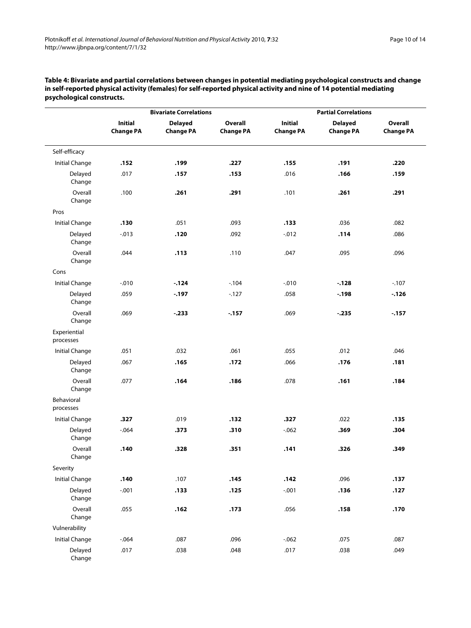|                           |                                    | <b>Bivariate Correlations</b>      |                                    | <b>Partial Correlations</b>        |                                    |                             |
|---------------------------|------------------------------------|------------------------------------|------------------------------------|------------------------------------|------------------------------------|-----------------------------|
|                           | <b>Initial</b><br><b>Change PA</b> | <b>Delayed</b><br><b>Change PA</b> | <b>Overall</b><br><b>Change PA</b> | <b>Initial</b><br><b>Change PA</b> | <b>Delayed</b><br><b>Change PA</b> | Overall<br><b>Change PA</b> |
| Self-efficacy             |                                    |                                    |                                    |                                    |                                    |                             |
| <b>Initial Change</b>     | .152                               | .199                               | .227                               | .155                               | .191                               | .220                        |
| Delayed<br>Change         | .017                               | .157                               | .153                               | .016                               | .166                               | .159                        |
| Overall<br>Change         | .100                               | .261                               | .291                               | .101                               | .261                               | .291                        |
| Pros                      |                                    |                                    |                                    |                                    |                                    |                             |
| <b>Initial Change</b>     | .130                               | .051                               | .093                               | .133                               | .036                               | .082                        |
| Delayed<br>Change         | $-0.013$                           | .120                               | .092                               | $-0.012$                           | .114                               | .086                        |
| Overall<br>Change         | .044                               | .113                               | .110                               | .047                               | .095                               | .096                        |
| Cons                      |                                    |                                    |                                    |                                    |                                    |                             |
| <b>Initial Change</b>     | $-.010$                            | $-.124$                            | $-104$                             | $-0.010$                           | $-.128$                            | $-107$                      |
| Delayed<br>Change         | .059                               | $-197$                             | $-127$                             | .058                               | $-.198$                            | $-126$                      |
| Overall<br>Change         | .069                               | $-.233$                            | $-157$                             | .069                               | $-.235$                            | $-157$                      |
| Experiential<br>processes |                                    |                                    |                                    |                                    |                                    |                             |
| <b>Initial Change</b>     | .051                               | .032                               | .061                               | .055                               | .012                               | .046                        |
| Delayed<br>Change         | .067                               | .165                               | .172                               | .066                               | .176                               | .181                        |
| Overall<br>Change         | .077                               | .164                               | .186                               | .078                               | .161                               | .184                        |
| Behavioral<br>processes   |                                    |                                    |                                    |                                    |                                    |                             |
| <b>Initial Change</b>     | .327                               | .019                               | .132                               | .327                               | .022                               | .135                        |
| Delayed<br>Change         | $-0.064$                           | .373                               | .310                               | $-0.062$                           | .369                               | .304                        |
| Overall<br>Change         | .140                               | .328                               | .351                               | .141                               | .326                               | .349                        |
| Severity                  |                                    |                                    |                                    |                                    |                                    |                             |
| <b>Initial Change</b>     | .140                               | .107                               | .145                               | .142                               | .096                               | .137                        |
| Delayed<br>Change         | $-.001$                            | .133                               | .125                               | $-.001$                            | .136                               | .127                        |
| Overall<br>Change         | .055                               | .162                               | .173                               | .056                               | .158                               | .170                        |
| Vulnerability             |                                    |                                    |                                    |                                    |                                    |                             |
| <b>Initial Change</b>     | $-0.064$                           | .087                               | .096                               | $-.062$                            | .075                               | .087                        |
| Delayed<br>Change         | .017                               | .038                               | .048                               | .017                               | .038                               | .049                        |

**Table 4: Bivariate and partial correlations between changes in potential mediating psychological constructs and change in self-reported physical activity (females) for self-reported physical activity and nine of 14 potential mediating psychological constructs.**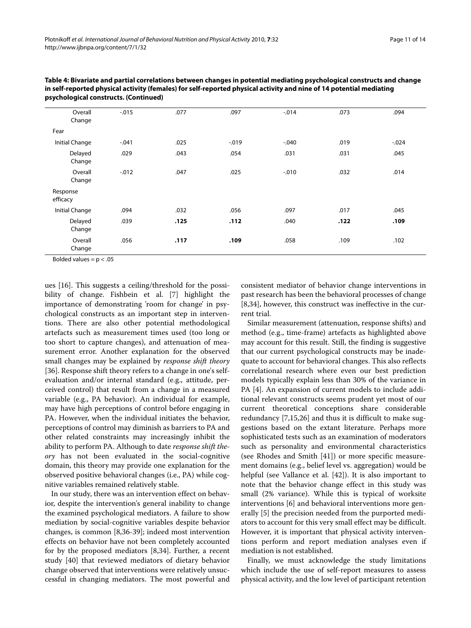| Overall<br>Change     | $-.015$  | .077 | .097     | $-0.014$ | .073 | .094     |
|-----------------------|----------|------|----------|----------|------|----------|
| Fear                  |          |      |          |          |      |          |
| <b>Initial Change</b> | $-.041$  | .025 | $-0.019$ | $-0.040$ | .019 | $-0.024$ |
| Delayed<br>Change     | .029     | .043 | .054     | .031     | .031 | .045     |
| Overall<br>Change     | $-0.012$ | .047 | .025     | $-0.010$ | .032 | .014     |
| Response<br>efficacy  |          |      |          |          |      |          |
| <b>Initial Change</b> | .094     | .032 | .056     | .097     | .017 | .045     |
| Delayed<br>Change     | .039     | .125 | .112     | .040     | .122 | .109     |
| Overall<br>Change     | .056     | .117 | .109     | .058     | .109 | .102     |
|                       |          |      |          |          |      |          |

**Table 4: Bivariate and partial correlations between changes in potential mediating psychological constructs and change in self-reported physical activity (females) for self-reported physical activity and nine of 14 potential mediating psychological constructs. (Continued)**

Bolded values =  $p < .05$ 

ues [[16\]](#page-12-13). This suggests a ceiling/threshold for the possibility of change. Fishbein et al. [\[7](#page-12-6)] highlight the importance of demonstrating 'room for change' in psychological constructs as an important step in interventions. There are also other potential methodological artefacts such as measurement times used (too long or too short to capture changes), and attenuation of measurement error. Another explanation for the observed small changes may be explained by *response shift theory* [[36\]](#page-12-33). Response shift theory refers to a change in one's selfevaluation and/or internal standard (e.g., attitude, perceived control) that result from a change in a measured variable (e.g., PA behavior). An individual for example, may have high perceptions of control before engaging in PA. However, when the individual initiates the behavior, perceptions of control may diminish as barriers to PA and other related constraints may increasingly inhibit the ability to perform PA. Although to date *response shift theory* has not been evaluated in the social-cognitive domain, this theory may provide one explanation for the observed positive behavioral changes (i.e., PA) while cognitive variables remained relatively stable.

In our study, there was an intervention effect on behavior, despite the intervention's general inability to change the examined psychological mediators. A failure to show mediation by social-cognitive variables despite behavior changes, is common [[8](#page-12-7)[,36-](#page-12-33)[39](#page-12-34)]; indeed most intervention effects on behavior have not been completely accounted for by the proposed mediators [[8,](#page-12-7)[34\]](#page-12-31). Further, a recent study [[40\]](#page-12-35) that reviewed mediators of dietary behavior change observed that interventions were relatively unsuccessful in changing mediators. The most powerful and consistent mediator of behavior change interventions in past research has been the behavioral processes of change [[8,](#page-12-7)[34\]](#page-12-31), however, this construct was ineffective in the current trial.

Similar measurement (attenuation, response shifts) and method (e.g., time-frame) artefacts as highlighted above may account for this result. Still, the finding is suggestive that our current psychological constructs may be inadequate to account for behavioral changes. This also reflects correlational research where even our best prediction models typically explain less than 30% of the variance in PA [[4\]](#page-12-3). An expansion of current models to include additional relevant constructs seems prudent yet most of our current theoretical conceptions share considerable redundancy [\[7](#page-12-6),[15](#page-12-12),[26](#page-12-23)] and thus it is difficult to make suggestions based on the extant literature. Perhaps more sophisticated tests such as an examination of moderators such as personality and environmental characteristics (see Rhodes and Smith [\[41](#page-12-36)]) or more specific measurement domains (e.g., belief level vs. aggregation) would be helpful (see Vallance et al. [[42\]](#page-13-6)). It is also important to note that the behavior change effect in this study was small (2% variance). While this is typical of worksite interventions [\[6\]](#page-12-5) and behavioral interventions more generally [[5\]](#page-12-4) the precision needed from the purported mediators to account for this very small effect may be difficult. However, it is important that physical activity interventions perform and report mediation analyses even if mediation is not established.

Finally, we must acknowledge the study limitations which include the use of self-report measures to assess physical activity, and the low level of participant retention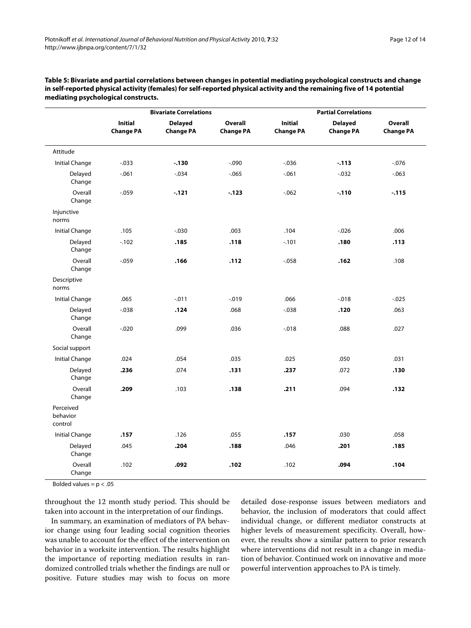| Table 5: Bivariate and partial correlations between changes in potential mediating psychological constructs and change  |
|-------------------------------------------------------------------------------------------------------------------------|
| in self-reported physical activity (females) for self-reported physical activity and the remaining five of 14 potential |
| mediating psychological constructs.                                                                                     |

|                                  | <b>Bivariate Correlations</b>      |                                    |                                    | <b>Partial Correlations</b>        |                                    |                             |  |
|----------------------------------|------------------------------------|------------------------------------|------------------------------------|------------------------------------|------------------------------------|-----------------------------|--|
|                                  | <b>Initial</b><br><b>Change PA</b> | <b>Delayed</b><br><b>Change PA</b> | <b>Overall</b><br><b>Change PA</b> | <b>Initial</b><br><b>Change PA</b> | <b>Delayed</b><br><b>Change PA</b> | Overall<br><b>Change PA</b> |  |
| Attitude                         |                                    |                                    |                                    |                                    |                                    |                             |  |
| <b>Initial Change</b>            | $-0.033$                           | $-.130$                            | $-0.090$                           | $-0.036$                           | $-113$                             | $-0.076$                    |  |
| Delayed<br>Change                | $-061$                             | $-0.034$                           | $-0.065$                           | $-0.061$                           | $-0.032$                           | $-0.063$                    |  |
| Overall<br>Change                | $-0.059$                           | $-121$                             | $-.123$                            | $-062$                             | $-.110$                            | $-115$                      |  |
| Injunctive<br>norms              |                                    |                                    |                                    |                                    |                                    |                             |  |
| <b>Initial Change</b>            | .105                               | $-0.030$                           | .003                               | .104                               | $-.026$                            | .006                        |  |
| Delayed<br>Change                | $-102$                             | .185                               | .118                               | $-.101$                            | .180                               | .113                        |  |
| Overall<br>Change                | $-0.059$                           | .166                               | .112                               | $-0.058$                           | .162                               | .108                        |  |
| Descriptive<br>norms             |                                    |                                    |                                    |                                    |                                    |                             |  |
| <b>Initial Change</b>            | .065                               | $-.011$                            | $-0.019$                           | .066                               | $-.018$                            | $-0.025$                    |  |
| Delayed<br>Change                | $-0.038$                           | .124                               | .068                               | $-0.038$                           | .120                               | .063                        |  |
| Overall<br>Change                | $-0.020$                           | .099                               | .036                               | $-0.018$                           | .088                               | .027                        |  |
| Social support                   |                                    |                                    |                                    |                                    |                                    |                             |  |
| <b>Initial Change</b>            | .024                               | .054                               | .035                               | .025                               | .050                               | .031                        |  |
| Delayed<br>Change                | .236                               | .074                               | .131                               | .237                               | .072                               | .130                        |  |
| Overall<br>Change                | .209                               | .103                               | .138                               | .211                               | .094                               | .132                        |  |
| Perceived<br>behavior<br>control |                                    |                                    |                                    |                                    |                                    |                             |  |
| Initial Change                   | .157                               | .126                               | .055                               | .157                               | .030                               | .058                        |  |
| Delayed<br>Change                | .045                               | .204                               | .188                               | .046                               | .201                               | .185                        |  |
| Overall<br>Change                | .102                               | .092                               | .102                               | .102                               | .094                               | .104                        |  |

Bolded values =  $p < .05$ 

throughout the 12 month study period. This should be taken into account in the interpretation of our findings.

In summary, an examination of mediators of PA behavior change using four leading social cognition theories was unable to account for the effect of the intervention on behavior in a worksite intervention. The results highlight the importance of reporting mediation results in randomized controlled trials whether the findings are null or positive. Future studies may wish to focus on more detailed dose-response issues between mediators and behavior, the inclusion of moderators that could affect individual change, or different mediator constructs at higher levels of measurement specificity. Overall, however, the results show a similar pattern to prior research where interventions did not result in a change in mediation of behavior. Continued work on innovative and more powerful intervention approaches to PA is timely.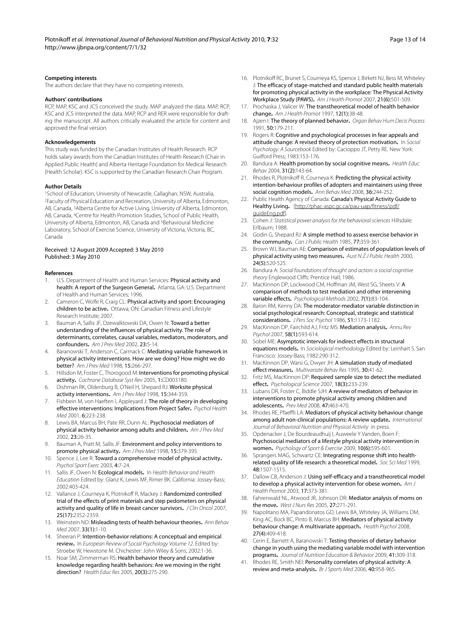#### **Competing interests**

The authors declare that they have no competing interests.

#### **Authors' contributions**

RCP, MAP, KSC and JCS conceived the study. MAP analyzed the data. MAP, RCP, KSC and JCS interpreted the data. MAP, RCP and RER were responsible for drafting the manuscript. All authors critically evaluated the article for content and approved the final version.

#### **Acknowledgements**

This study was funded by the Canadian Institutes of Health Research. RCP holds salary awards from the Canadian Institutes of Health Research (Chair in Applied Public Health) and Alberta Heritage Foundation for Medical Research (Health Scholar). KSC is supported by the Canadian Research Chair Program.

#### **Author Details**

1School of Education, University of Newcastle, Callaghan, NSW, Australia, 2Faculty of Physical Education and Recreation, University of Alberta, Edmonton, AB, Canada, 3Alberta Centre for Active Living, University of Alberta, Edmonton, AB, Canada, 4Centre for Health Promotion Studies, School of Public Health, University of Alberta, Edmonton, AB, Canada and 5Behavioural Medicine Laboratory, School of Exercise Science, University of Victoria, Victoria, BC, Canada

#### Received: 12 August 2009 Accepted: 3 May 2010 Published: 3 May 2010

#### **References**

- <span id="page-12-0"></span>U.S. Department of Health and Human Services: Physical activity and health: A report of the Surgeon General**.** Atlanta, GA: U.S. Department of Health and Human Services; 1996.
- <span id="page-12-1"></span>2. Cameron C, Wolfe R, Craig CL: Physical activity and sport: Encouraging children to be active**.** Ottawa, ON: Canadian Fitness and Lifestyle Research Institute; 2007.
- <span id="page-12-2"></span>3. Bauman A, Sallis JF, Dzewalktowski DA, Owen N: Toward a better understanding of the influences of physical activity. The role of determinants, correlates, causal variables, mediators, moderators, and confounders**.** Am J Prev Med 2002, 23:5-14.
- <span id="page-12-3"></span>4. Baranowski T, Anderson C, Carmack C: Mediating variable framework in physical activity interventions. How are we doing? How might we do better? Am J Prev Med 1998, 15:266-297.
- <span id="page-12-4"></span>5. Hillsdon M, Foster C, Thorogood M: Interventions for promoting physical activity**[.](http://www.ncbi.nlm.nih.gov/entrez/query.fcgi?cmd=Retrieve&db=PubMed&dopt=Abstract&list_uids=15674903)** Cochrane Database Syst Rev 2005, 1:CD003180.
- <span id="page-12-5"></span>6. Dishman RK, Oldenburg B, O'Neil H, Shepard RJ: Worksite physical activity interventions**.** Am J Prev Med 1998, 15:344-359.
- <span id="page-12-6"></span>7. Fishbein M, von Haeften I, Appleyard J: The role of theory in developing effective interventions: Implications from Project Safer**.** Psychol Health Med 2001, 6:223-238.
- <span id="page-12-7"></span>Lewis BA, Marcus BH, Pate RR, Dunn AL: Psychosocial mediators of physical activity behavior among adults and children**.** Am J Prev Med 2002, 23:26-35.
- <span id="page-12-8"></span>9. Bauman A, Pratt M, Sallis JF: Environment and policy interventions to promote physical activity**.** Am J Prev Med 1998, 15:379-395.
- 10. Spence J, Lee R: Toward a comprehensive model of physical activity**.** Psychol Sport Exerc 2003, 4:7-24.
- <span id="page-12-9"></span>11. Sallis JF, Owen N: Ecological models**.** In Health Behavior and Health Education Edited by: Glanz K, Lewis MF, Rimer BK. California: Jossey-Bass; 2002:403-424.
- <span id="page-12-10"></span>12. Vallance J, Courneya K, Plotnikoff R, Mackey J: Randomized controlled trial of the effects of print materials and step pedometers on physical activity and quality of life in breast cancer survivors**[.](http://www.ncbi.nlm.nih.gov/entrez/query.fcgi?cmd=Retrieve&db=PubMed&dopt=Abstract&list_uids=17557948)** J Clin Oncol 2007, 25(17):2352-2359.
- <span id="page-12-11"></span>13. Weinstein ND: Misleading tests of health behaviour theories**.** Ann Behav Med 2007, 33(1):1-10.
- 14. Sheeran P: Intention-behavior relations: A conceptual and empirical review**.** In European Review of Social Psychology Volume 12. Edited by: Stroebe W, Hewstone M. Chichester: John Wiley & Sons; 2002:1-36.
- <span id="page-12-12"></span>15. Noar SM, Zimmerman RS: Health behavior theory and cumulative knowledge regarding health behaviors: Are we moving in the right direction? Health Educ Res 2005, 20(3):275-290.
- <span id="page-12-13"></span>16. Plotnikoff RC, Brunet S, Courneya KS, Spence J, Birkett NJ, Bess M, Whiteley J: The efficacy of stage-matched and standard public health materials for promoting physical activity in the workplace: The Physical Activity Workplace Study (PAWS)**.** Am J Health Promot 2007, 21(6):501-509.
- <span id="page-12-14"></span>Prochaska J, Valicer W: The transtheoretical model of health behavior change**.** Am J Health Promot 1997, 12(1):38-48.
- <span id="page-12-15"></span>18. Ajzen I: The theory of planned behavior**.** Organ Behav Hum Decis Process 1991, 50:179-211.
- <span id="page-12-16"></span>19. Rogers R: Cognitive and psychological processes in fear appeals and attitude change: A revised theory of protection motivation**.** In Social Psychology: A Sourcebook Edited by: Cacioppo JT, Petty RE. New York: Guilford Press; 1983:153-176.
- <span id="page-12-17"></span>20. Bandura A: Health promotion by social cognitive means**.** Health Educ Behav 2004, 31(2):143-64.
- <span id="page-12-18"></span>21. Rhodes R, Plotnikoff R, Courneya K: Predicting the physical activity intention-behaviour profiles of adopters and maintainers using three social cognition models**.** Ann Behav Med 2008, 36:244-252.
- <span id="page-12-19"></span>22. Public Health Agency of Canada: Canada's Physical Activity Guide to Healthy Living**.** [\[http://phac-aspc.gc.ca/pau-uap/fitness/pdf/](http://phac-aspc.gc.ca/pau-uap/fitness/pdf/guideEng.pdf) [guideEng.pdf](http://phac-aspc.gc.ca/pau-uap/fitness/pdf/guideEng.pdf)].
- <span id="page-12-20"></span>23. Cohen J: Statistical power analysis for the behavioral sciences Hillsdale: Erlbaum; 1988.
- <span id="page-12-21"></span>24. Godin G, Shepard RJ: A simple method to assess exercise behavior in the community**.** Can J Public Health 1985, 77:359-361.
- <span id="page-12-22"></span>25. Brown WJ, Bauman AE: Comparison of estimates of population levels of physical activity using two measures**.** Aust N Z J Public Health 2000, 24(5):520-525.
- <span id="page-12-23"></span>26. Bandura A: Social foundations of thought and action: a social cognitive theory Englewood Cliffs: Prentice Hall; 1986.
- <span id="page-12-24"></span>27. MacKinnon DP, Lockwood CM, Hoffman JM, West SG, Sheets V: A comparison of methods to test mediation and other intervening variable effects**.** Psychological Methods 2002, 7(1):83-104.
- <span id="page-12-25"></span>28. Baron RM, Kenny DA: The moderator-mediator variable distinction in social psychological research: Conceptual, strategic and statistical considerations**[.](http://www.ncbi.nlm.nih.gov/entrez/query.fcgi?cmd=Retrieve&db=PubMed&dopt=Abstract&list_uids=3806354)** J Pers Soc Psychol 1986, 51:1173-1182.
- <span id="page-12-26"></span>29. MacKinnon DP, Fairchild AJ, Fritz MS: Mediation analysis**.** Annu Rev Psychol 2007, 58(1):593-614.
- <span id="page-12-27"></span>30. Sobel ME: Asymptotic intervals for indirect effects in structural equations models**.** In Sociological methodology Edited by: Leinhart S. San Francisco: Jossey-Bass; 1982:290-312.
- <span id="page-12-28"></span>31. MacKinnon DP, Warsi G, Dwyer JH: A simulation study of mediated effect measures**.** Multivariate Behav Res 1995, 30:41-62.
- <span id="page-12-29"></span>32. Fritz MS, MacKinnon DP: Required sample size to detect the mediated effect**[.](http://www.ncbi.nlm.nih.gov/entrez/query.fcgi?cmd=Retrieve&db=PubMed&dopt=Abstract&list_uids=17444920)** Psychological Science 2007, 18(3):233-239.
- <span id="page-12-30"></span>33. Lubans DR, Foster C, Biddle SJH: A review of mediators of behavior in interventions to promote physical activity among children and adolescents**.** Prev Med 2008, 47:463-470.
- <span id="page-12-31"></span>34. Rhodes RE, Pfaeffli LA: Mediators of physical activity behaviour change among adult non-clinical populations: A review update**.** International Journal of Behavioral Nutrition and Physical Activity in press.
- <span id="page-12-32"></span>35. Opdenacker J, De Bourdeaudhuij I, Auweele Y Vanden, Boen F: Psychosocial mediators of a lifestyle physical activity intervention in women**.** Psychology of Sport & Exercise 2009, 10(6):595-601.
- <span id="page-12-33"></span>36. Sprangers MAG, Schwartz CE: Integrating response shift into healthrelated quality of life research: a theoretical model**.** Soc Sci Med 1999, 48:1507-1515.
- 37. Dallow CB, Anderson J: Using self-efficacy and a transtheoretical model to develop a physical activity intervention for obese women**.** Am J Health Promot 2003, 17:373-381.
- 38. Fahrenwald NL, Atwood JR, Johnson DR: Mediator analysis of moms on the move**.** West J Nurs Res 2005, 27:271-291.
- <span id="page-12-34"></span>39. Napolitano MA, Papandonatos GD, Lewis BA, Whiteley JA, Williams DM, King AC, Bock BC, Pinto B, Marcus BH: Mediators of physical activity behaviour change: A multivariate approach**.** Health Psychol 2008, 27(4):409-418.
- <span id="page-12-35"></span>40. Cerin E, Barnett A, Baranowski T: Testing theories of dietary behavior change in youth using the mediating variable model with intervention programs**.** Journal of Nutrition Education & Behavior 2009, 41:309-318.
- <span id="page-12-36"></span>41. Rhodes RE, Smith NEI: Personality correlates of physical activity: A review and meta-analysis**[.](http://www.ncbi.nlm.nih.gov/entrez/query.fcgi?cmd=Retrieve&db=PubMed&dopt=Abstract&list_uids=17124108)** Br J Sports Med 2006, 40:958-965.